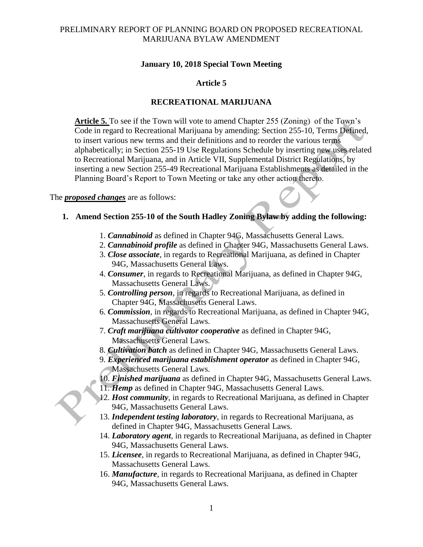#### **January 10, 2018 Special Town Meeting**

### **Article 5**

#### **RECREATIONAL MARIJUANA**

**Article 5.** To see if the Town will vote to amend Chapter 255 (Zoning) of the Town's Code in regard to Recreational Marijuana by amending: Section 255-10, Terms Defined, to insert various new terms and their definitions and to reorder the various terms alphabetically; in Section 255-19 Use Regulations Schedule by inserting new uses related to Recreational Marijuana, and in Article VII, Supplemental District Regulations, by inserting a new Section 255-49 Recreational Marijuana Establishments as detailed in the Planning Board's Report to Town Meeting or take any other action thereto.

#### The *proposed changes* are as follows:

#### **1. Amend Section 255-10 of the South Hadley Zoning Bylaw by adding the following:**

- 1. *Cannabinoid* as defined in Chapter 94G, Massachusetts General Laws.
- 2. *Cannabinoid profile* as defined in Chapter 94G, Massachusetts General Laws.
- 3. *Close associate*, in regards to Recreational Marijuana, as defined in Chapter 94G, Massachusetts General Laws.
- 4. *Consumer*, in regards to Recreational Marijuana, as defined in Chapter 94G, Massachusetts General Laws.
- 5. *Controlling person*, in regards to Recreational Marijuana, as defined in Chapter 94G, Massachusetts General Laws.
- 6. *Commission*, in regards to Recreational Marijuana, as defined in Chapter 94G, Massachusetts General Laws.
- 7. *Craft marijuana cultivator cooperative* as defined in Chapter 94G, Massachusetts General Laws.
- 8. *Cultivation batch* as defined in Chapter 94G, Massachusetts General Laws.
- 9. *Experienced marijuana establishment operator* as defined in Chapter 94G, Massachusetts General Laws.
- 10. *Finished marijuana* as defined in Chapter 94G, Massachusetts General Laws.
- 11. *Hemp* as defined in Chapter 94G, Massachusetts General Laws.
- 12. *Host community*, in regards to Recreational Marijuana, as defined in Chapter 94G, Massachusetts General Laws.
- 13. *Independent testing laboratory*, in regards to Recreational Marijuana, as defined in Chapter 94G, Massachusetts General Laws.
- 14. *Laboratory agent*, in regards to Recreational Marijuana, as defined in Chapter 94G, Massachusetts General Laws.
- 15. *Licensee*, in regards to Recreational Marijuana, as defined in Chapter 94G, Massachusetts General Laws.
- 16. *Manufacture*, in regards to Recreational Marijuana, as defined in Chapter 94G, Massachusetts General Laws.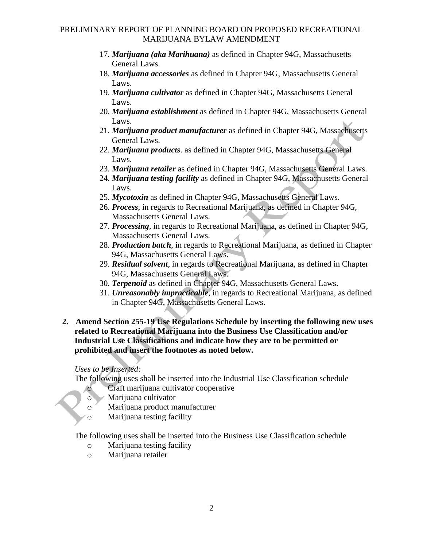- 17. *Marijuana (aka Marihuana)* as defined in Chapter 94G, Massachusetts General Laws.
- 18. *Marijuana accessories* as defined in Chapter 94G, Massachusetts General Laws.
- 19. *Marijuana cultivator* as defined in Chapter 94G, Massachusetts General Laws.
- 20. *Marijuana establishment* as defined in Chapter 94G, Massachusetts General Laws.
- 21. *Marijuana product manufacturer* as defined in Chapter 94G, Massachusetts General Laws.
- 22. *Marijuana products*. as defined in Chapter 94G, Massachusetts General Laws.
- 23. *Marijuana retailer* as defined in Chapter 94G, Massachusetts General Laws.
- 24. *Marijuana testing facility* as defined in Chapter 94G, Massachusetts General Laws.
- 25. *Mycotoxin* as defined in Chapter 94G, Massachusetts General Laws.
- 26. *Process*, in regards to Recreational Marijuana, as defined in Chapter 94G, Massachusetts General Laws.
- 27. *Processing*, in regards to Recreational Marijuana, as defined in Chapter 94G, Massachusetts General Laws.
- 28. *Production batch*, in regards to Recreational Marijuana, as defined in Chapter 94G, Massachusetts General Laws.
- 29. *Residual solvent*, in regards to Recreational Marijuana, as defined in Chapter 94G, Massachusetts General Laws.
- 30. *Terpenoid* as defined in Chapter 94G, Massachusetts General Laws.
- 31. *Unreasonably impracticable*, in regards to Recreational Marijuana, as defined in Chapter 94G, Massachusetts General Laws.
- **2. Amend Section 255-19 Use Regulations Schedule by inserting the following new uses related to Recreational Marijuana into the Business Use Classification and/or Industrial Use Classifications and indicate how they are to be permitted or prohibited and insert the footnotes as noted below.**

# *Uses to be Inserted:*

The following uses shall be inserted into the Industrial Use Classification schedule

- o Craft marijuana cultivator cooperative
- o Marijuana cultivator
- o Marijuana product manufacturer
- o Marijuana testing facility

The following uses shall be inserted into the Business Use Classification schedule

- o Marijuana testing facility
- o Marijuana retailer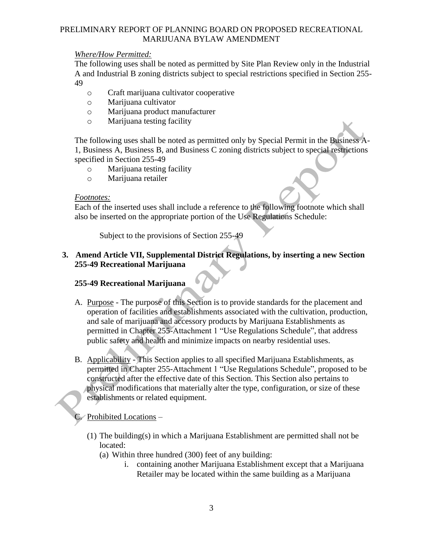### *Where/How Permitted:*

The following uses shall be noted as permitted by Site Plan Review only in the Industrial A and Industrial B zoning districts subject to special restrictions specified in Section 255- 49

- o Craft marijuana cultivator cooperative
- o Marijuana cultivator
- o Marijuana product manufacturer
- o Marijuana testing facility

The following uses shall be noted as permitted only by Special Permit in the Business A-1, Business A, Business B, and Business C zoning districts subject to special restrictions specified in Section 255-49

- o Marijuana testing facility
- o Marijuana retailer

#### *Footnotes:*

Each of the inserted uses shall include a reference to the following footnote which shall also be inserted on the appropriate portion of the Use Regulations Schedule:

Subject to the provisions of Section 255-49

## **3. Amend Article VII, Supplemental District Regulations, by inserting a new Section 255-49 Recreational Marijuana**

## **255-49 Recreational Marijuana**

- A. Purpose The purpose of this Section is to provide standards for the placement and operation of facilities and establishments associated with the cultivation, production, and sale of marijuana and accessory products by Marijuana Establishments as permitted in Chapter 255-Attachment 1 "Use Regulations Schedule", that address public safety and health and minimize impacts on nearby residential uses.
- B. Applicability This Section applies to all specified Marijuana Establishments, as permitted in Chapter 255-Attachment 1 "Use Regulations Schedule", proposed to be constructed after the effective date of this Section. This Section also pertains to physical modifications that materially alter the type, configuration, or size of these establishments or related equipment.

# $\sqrt{\frac{P_{\text{ro}}}{P_{\text{co}}}}$  Prohibited Locations –

- (1) The building(s) in which a Marijuana Establishment are permitted shall not be located:
	- (a) Within three hundred (300) feet of any building:
		- i. containing another Marijuana Establishment except that a Marijuana Retailer may be located within the same building as a Marijuana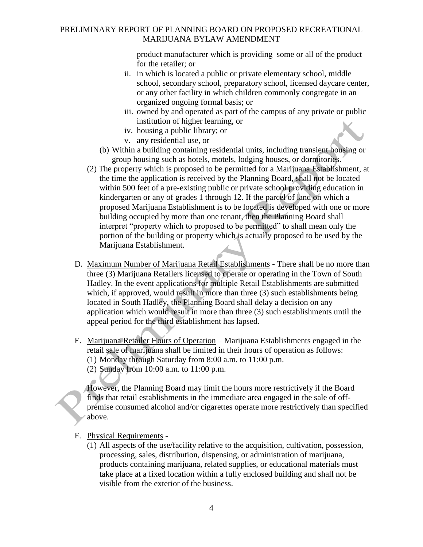product manufacturer which is providing some or all of the product for the retailer; or

- ii. in which is located a public or private elementary school, middle school, secondary school, preparatory school, licensed daycare center, or any other facility in which children commonly congregate in an organized ongoing formal basis; or
- iii. owned by and operated as part of the campus of any private or public institution of higher learning, or
- iv. housing a public library; or
- v. any residential use, or
- (b) Within a building containing residential units, including transient housing or group housing such as hotels, motels, lodging houses, or dormitories.
- (2) The property which is proposed to be permitted for a Marijuana Establishment, at the time the application is received by the Planning Board, shall not be located within 500 feet of a pre-existing public or private school providing education in kindergarten or any of grades 1 through 12. If the parcel of land on which a proposed Marijuana Establishment is to be located is developed with one or more building occupied by more than one tenant, then the Planning Board shall interpret "property which to proposed to be permitted" to shall mean only the portion of the building or property which is actually proposed to be used by the Marijuana Establishment.
- D. Maximum Number of Marijuana Retail Establishments There shall be no more than three (3) Marijuana Retailers licensed to operate or operating in the Town of South Hadley. In the event applications for multiple Retail Establishments are submitted which, if approved, would result in more than three (3) such establishments being located in South Hadley, the Planning Board shall delay a decision on any application which would result in more than three (3) such establishments until the appeal period for the third establishment has lapsed.
- E. Marijuana Retailer Hours of Operation Marijuana Establishments engaged in the retail sale of marijuana shall be limited in their hours of operation as follows: (1) Monday through Saturday from 8:00 a.m. to 11:00 p.m.
	- (2) Sunday from 10:00 a.m. to 11:00 p.m.

However, the Planning Board may limit the hours more restrictively if the Board finds that retail establishments in the immediate area engaged in the sale of offpremise consumed alcohol and/or cigarettes operate more restrictively than specified above.

- F. Physical Requirements
	- (1) All aspects of the use/facility relative to the acquisition, cultivation, possession, processing, sales, distribution, dispensing, or administration of marijuana, products containing marijuana, related supplies, or educational materials must take place at a fixed location within a fully enclosed building and shall not be visible from the exterior of the business.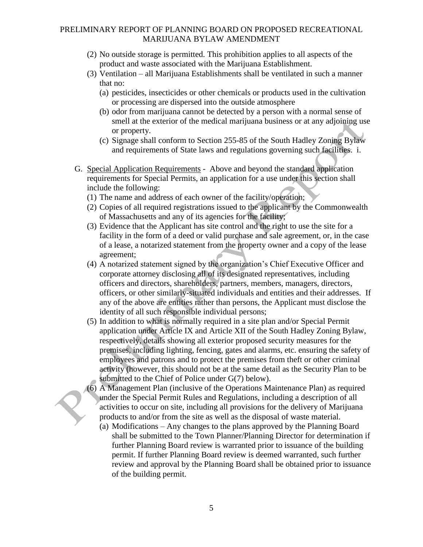- (2) No outside storage is permitted. This prohibition applies to all aspects of the product and waste associated with the Marijuana Establishment.
- (3) Ventilation all Marijuana Establishments shall be ventilated in such a manner that no:
	- (a) pesticides, insecticides or other chemicals or products used in the cultivation or processing are dispersed into the outside atmosphere
	- (b) odor from marijuana cannot be detected by a person with a normal sense of smell at the exterior of the medical marijuana business or at any adjoining use or property.
	- (c) Signage shall conform to Section 255-85 of the South Hadley Zoning Bylaw and requirements of State laws and regulations governing such facilities. i.
- G. Special Application Requirements Above and beyond the standard application requirements for Special Permits, an application for a use under this section shall include the following:
	- (1) The name and address of each owner of the facility/operation;
	- (2) Copies of all required registrations issued to the applicant by the Commonwealth of Massachusetts and any of its agencies for the facility;
	- (3) Evidence that the Applicant has site control and the right to use the site for a facility in the form of a deed or valid purchase and sale agreement, or, in the case of a lease, a notarized statement from the property owner and a copy of the lease agreement;
	- (4) A notarized statement signed by the organization's Chief Executive Officer and corporate attorney disclosing all of its designated representatives, including officers and directors, shareholders, partners, members, managers, directors, officers, or other similarly-situated individuals and entities and their addresses. If any of the above are entities rather than persons, the Applicant must disclose the identity of all such responsible individual persons;
	- (5) In addition to what is normally required in a site plan and/or Special Permit application under Article IX and Article XII of the South Hadley Zoning Bylaw, respectively, details showing all exterior proposed security measures for the premises, including lighting, fencing, gates and alarms, etc. ensuring the safety of employees and patrons and to protect the premises from theft or other criminal activity (however, this should not be at the same detail as the Security Plan to be submitted to the Chief of Police under G(7) below).
	- (6) A Management Plan (inclusive of the Operations Maintenance Plan) as required under the Special Permit Rules and Regulations, including a description of all activities to occur on site, including all provisions for the delivery of Marijuana products to and/or from the site as well as the disposal of waste material.
		- (a) Modifications Any changes to the plans approved by the Planning Board shall be submitted to the Town Planner/Planning Director for determination if further Planning Board review is warranted prior to issuance of the building permit. If further Planning Board review is deemed warranted, such further review and approval by the Planning Board shall be obtained prior to issuance of the building permit.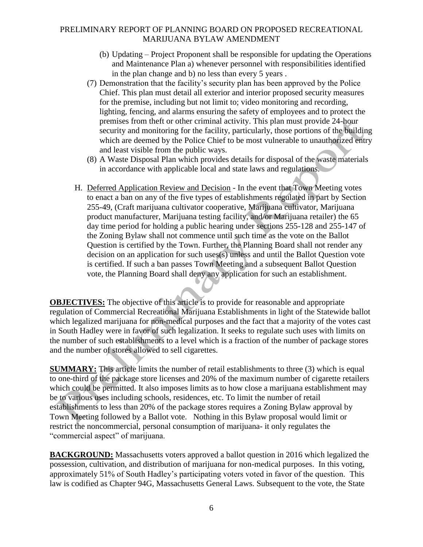- (b) Updating Project Proponent shall be responsible for updating the Operations and Maintenance Plan a) whenever personnel with responsibilities identified in the plan change and b) no less than every 5 years .
- (7) Demonstration that the facility's security plan has been approved by the Police Chief. This plan must detail all exterior and interior proposed security measures for the premise, including but not limit to; video monitoring and recording, lighting, fencing, and alarms ensuring the safety of employees and to protect the premises from theft or other criminal activity. This plan must provide 24-hour security and monitoring for the facility, particularly, those portions of the building which are deemed by the Police Chief to be most vulnerable to unauthorized entry and least visible from the public ways.
- (8) A Waste Disposal Plan which provides details for disposal of the waste materials in accordance with applicable local and state laws and regulations.
- H. Deferred Application Review and Decision In the event that Town Meeting votes to enact a ban on any of the five types of establishments regulated in part by Section 255-49, (Craft marijuana cultivator cooperative, Marijuana cultivator, Marijuana product manufacturer, Marijuana testing facility, and/or Marijuana retailer) the 65 day time period for holding a public hearing under sections 255-128 and 255-147 of the Zoning Bylaw shall not commence until such time as the vote on the Ballot Question is certified by the Town. Further, the Planning Board shall not render any decision on an application for such uses(s) unless and until the Ballot Question vote is certified. If such a ban passes Town Meeting and a subsequent Ballot Question vote, the Planning Board shall deny any application for such an establishment.

**OBJECTIVES:** The objective of this article is to provide for reasonable and appropriate regulation of Commercial Recreational Marijuana Establishments in light of the Statewide ballot which legalized marijuana for non-medical purposes and the fact that a majority of the votes cast in South Hadley were in favor of such legalization. It seeks to regulate such uses with limits on the number of such establishments to a level which is a fraction of the number of package stores and the number of stores allowed to sell cigarettes.

**SUMMARY:** This article limits the number of retail establishments to three (3) which is equal to one-third of the package store licenses and 20% of the maximum number of cigarette retailers which could be permitted. It also imposes limits as to how close a marijuana establishment may be to various uses including schools, residences, etc. To limit the number of retail establishments to less than 20% of the package stores requires a Zoning Bylaw approval by Town Meeting followed by a Ballot vote. Nothing in this Bylaw proposal would limit or restrict the noncommercial, personal consumption of marijuana- it only regulates the "commercial aspect" of marijuana.

**BACKGROUND:** Massachusetts voters approved a ballot question in 2016 which legalized the possession, cultivation, and distribution of marijuana for non-medical purposes. In this voting, approximately 51% of South Hadley's participating voters voted in favor of the question. This law is codified as Chapter 94G, Massachusetts General Laws. Subsequent to the vote, the State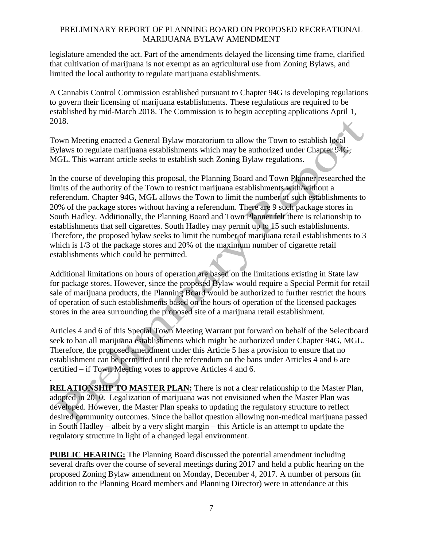legislature amended the act. Part of the amendments delayed the licensing time frame, clarified that cultivation of marijuana is not exempt as an agricultural use from Zoning Bylaws, and limited the local authority to regulate marijuana establishments.

A Cannabis Control Commission established pursuant to Chapter 94G is developing regulations to govern their licensing of marijuana establishments. These regulations are required to be established by mid-March 2018. The Commission is to begin accepting applications April 1, 2018.

Town Meeting enacted a General Bylaw moratorium to allow the Town to establish local Bylaws to regulate marijuana establishments which may be authorized under Chapter 94G, MGL. This warrant article seeks to establish such Zoning Bylaw regulations.

In the course of developing this proposal, the Planning Board and Town Planner researched the limits of the authority of the Town to restrict marijuana establishments with/without a referendum. Chapter 94G, MGL allows the Town to limit the number of such establishments to 20% of the package stores without having a referendum. There are 9 such package stores in South Hadley. Additionally, the Planning Board and Town Planner felt there is relationship to establishments that sell cigarettes. South Hadley may permit up to 15 such establishments. Therefore, the proposed bylaw seeks to limit the number of marijuana retail establishments to 3 which is 1/3 of the package stores and 20% of the maximum number of cigarette retail establishments which could be permitted.

Additional limitations on hours of operation are based on the limitations existing in State law for package stores. However, since the proposed Bylaw would require a Special Permit for retail sale of marijuana products, the Planning Board would be authorized to further restrict the hours of operation of such establishments based on the hours of operation of the licensed packages stores in the area surrounding the proposed site of a marijuana retail establishment.

Articles 4 and 6 of this Special Town Meeting Warrant put forward on behalf of the Selectboard seek to ban all marijuana establishments which might be authorized under Chapter 94G, MGL. Therefore, the proposed amendment under this Article 5 has a provision to ensure that no establishment can be permitted until the referendum on the bans under Articles 4 and 6 are certified – if Town Meeting votes to approve Articles 4 and 6.

. **RELATIONSHIP TO MASTER PLAN:** There is not a clear relationship to the Master Plan, adopted in 2010. Legalization of marijuana was not envisioned when the Master Plan was developed. However, the Master Plan speaks to updating the regulatory structure to reflect desired community outcomes. Since the ballot question allowing non-medical marijuana passed in South Hadley – albeit by a very slight margin – this Article is an attempt to update the regulatory structure in light of a changed legal environment.

**PUBLIC HEARING:** The Planning Board discussed the potential amendment including several drafts over the course of several meetings during 2017 and held a public hearing on the proposed Zoning Bylaw amendment on Monday, December 4, 2017. A number of persons (in addition to the Planning Board members and Planning Director) were in attendance at this